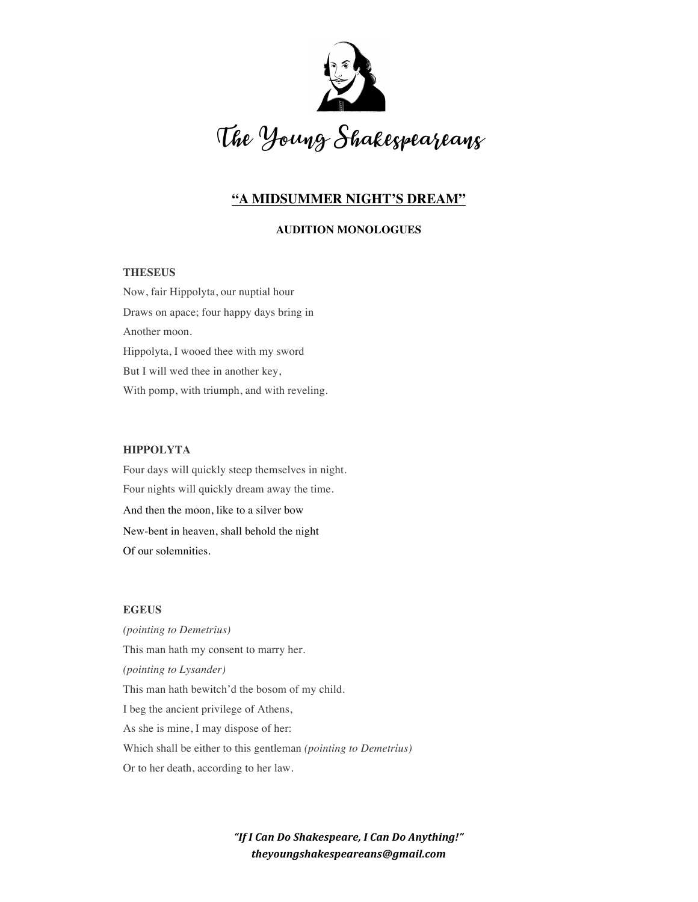

# **"A MIDSUMMER NIGHT'S DREAM"**

# **AUDITION MONOLOGUES**

# **THESEUS**

Now, fair Hippolyta, our nuptial hour Draws on apace; four happy days bring in Another moon. Hippolyta, I wooed thee with my sword But I will wed thee in another key, With pomp, with triumph, and with reveling.

### **HIPPOLYTA**

Four days will quickly steep themselves in night. Four nights will quickly dream away the time. And then the moon, like to a silver bow New-bent in heaven, shall behold the night Of our solemnities.

# **EGEUS**

*(pointing to Demetrius)* This man hath my consent to marry her. *(pointing to Lysander)* This man hath bewitch'd the bosom of my child. I beg the ancient privilege of Athens, As she is mine, I may dispose of her: Which shall be either to this gentleman *(pointing to Demetrius)* Or to her death, according to her law.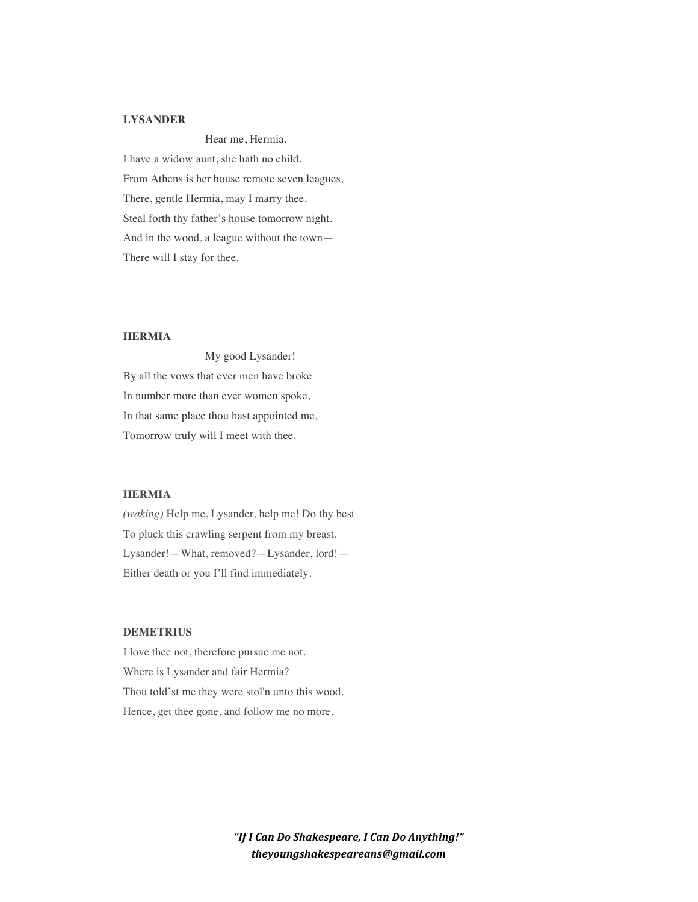# **LYSANDER**

Hear me, Hermia. I have a widow aunt, she hath no child. From Athens is her house remote seven leagues, There, gentle Hermia, may I marry thee. Steal forth thy father's house tomorrow night. And in the wood, a league without the town— There will I stay for thee.

#### **HERMIA**

My good Lysander! By all the vows that ever men have broke In number more than ever women spoke, In that same place thou hast appointed me, Tomorrow truly will I meet with thee.

## **HERMIA**

*(waking)* Help me, Lysander, help me! Do thy best To pluck this crawling serpent from my breast. Lysander!—What, removed?—Lysander, lord!— Either death or you I'll find immediately.

# **DEMETRIUS**

I love thee not, therefore pursue me not. Where is Lysander and fair Hermia? Thou told'st me they were stol'n unto this wood. Hence, get thee gone, and follow me no more.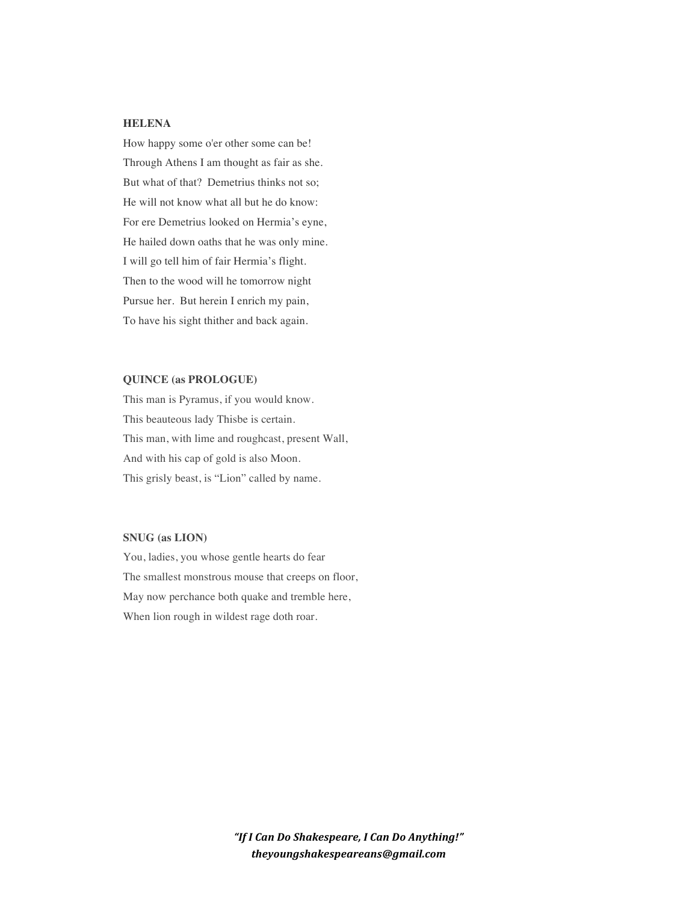#### **HELENA**

How happy some o'er other some can be! Through Athens I am thought as fair as she. But what of that? Demetrius thinks not so; He will not know what all but he do know: For ere Demetrius looked on Hermia's eyne, He hailed down oaths that he was only mine. I will go tell him of fair Hermia's flight. Then to the wood will he tomorrow night Pursue her. But herein I enrich my pain, To have his sight thither and back again.

# **QUINCE (as PROLOGUE)**

This man is Pyramus, if you would know. This beauteous lady Thisbe is certain. This man, with lime and roughcast, present Wall, And with his cap of gold is also Moon. This grisly beast, is "Lion" called by name.

# **SNUG (as LION)**

You, ladies, you whose gentle hearts do fear The smallest monstrous mouse that creeps on floor, May now perchance both quake and tremble here, When lion rough in wildest rage doth roar.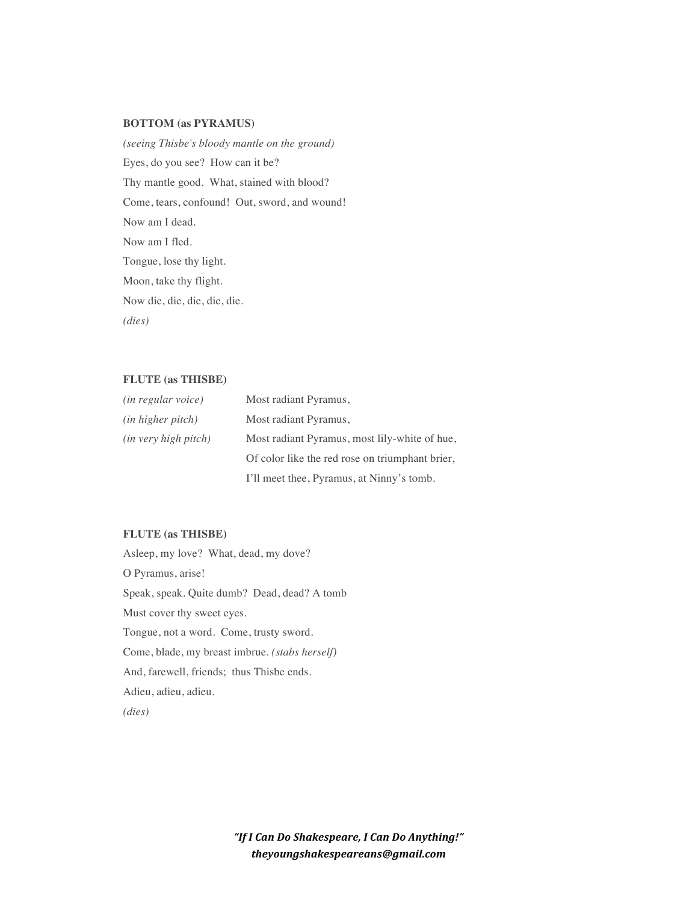### **BOTTOM (as PYRAMUS)**

*(seeing Thisbe's bloody mantle on the ground)* Eyes, do you see? How can it be? Thy mantle good. What, stained with blood? Come, tears, confound! Out, sword, and wound! Now am I dead. Now am I fled. Tongue, lose thy light. Moon, take thy flight. Now die, die, die, die, die. *(dies)*

### **FLUTE (as THISBE)**

| <i>(in regular voice)</i>     | Most radiant Pyramus,                           |
|-------------------------------|-------------------------------------------------|
| ( <i>in higher pitch</i> )    | Most radiant Pyramus,                           |
| ( <i>in very high pitch</i> ) | Most radiant Pyramus, most lily-white of hue,   |
|                               | Of color like the red rose on triumphant brier, |
|                               | I'll meet thee, Pyramus, at Ninny's tomb.       |

# **FLUTE (as THISBE)**

Asleep, my love? What, dead, my dove? O Pyramus, arise! Speak, speak. Quite dumb? Dead, dead? A tomb Must cover thy sweet eyes. Tongue, not a word. Come, trusty sword. Come, blade, my breast imbrue. *(stabs herself)* And, farewell, friends; thus Thisbe ends. Adieu, adieu, adieu. *(dies)*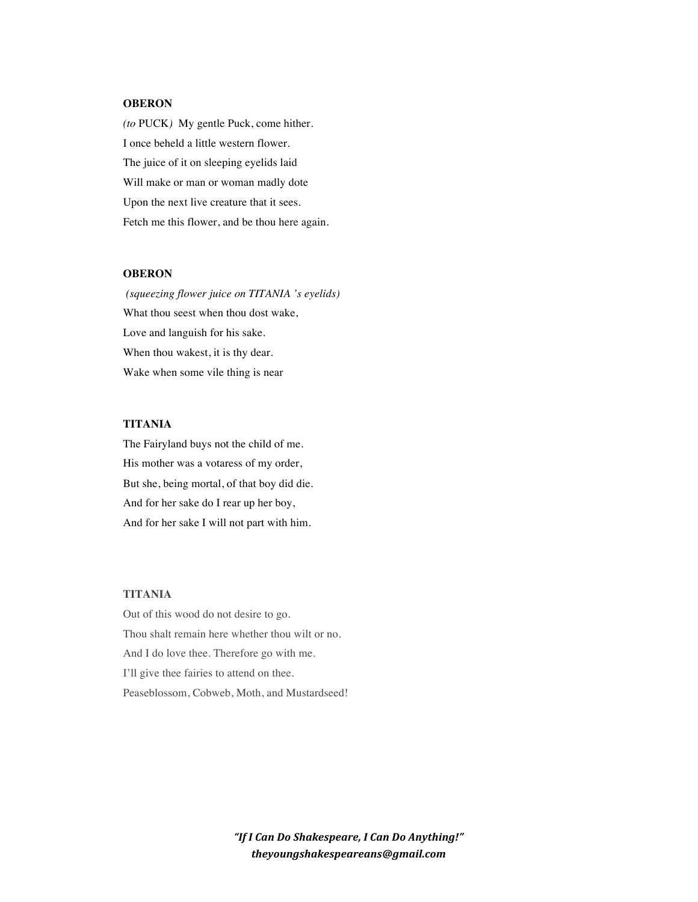## **OBERON**

*(to* PUCK*)* My gentle Puck, come hither. I once beheld a little western flower. The juice of it on sleeping eyelids laid Will make or man or woman madly dote Upon the next live creature that it sees. Fetch me this flower, and be thou here again.

#### **OBERON**

*(squeezing flower juice on TITANIA 's eyelids)* What thou seest when thou dost wake, Love and languish for his sake. When thou wakest, it is thy dear. Wake when some vile thing is near

#### **TITANIA**

The Fairyland buys not the child of me. His mother was a votaress of my order, But she, being mortal, of that boy did die. And for her sake do I rear up her boy, And for her sake I will not part with him.

## **TITANIA**

Out of this wood do not desire to go. Thou shalt remain here whether thou wilt or no. And I do love thee. Therefore go with me. I'll give thee fairies to attend on thee. Peaseblossom, Cobweb, Moth, and Mustardseed!